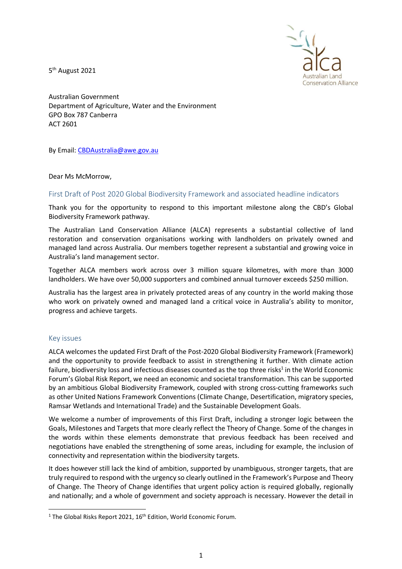5<sup>th</sup> August 2021



Australian Government Department of Agriculture, Water and the Environment GPO Box 787 Canberra ACT 2601

By Email: CBDAustralia@awe.gov.au

Dear Ms McMorrow,

#### First Draft of Post 2020 Global Biodiversity Framework and associated headline indicators

Thank you for the opportunity to respond to this important milestone along the CBD's Global Biodiversity Framework pathway.

The Australian Land Conservation Alliance (ALCA) represents a substantial collective of land restoration and conservation organisations working with landholders on privately owned and managed land across Australia. Our members together represent a substantial and growing voice in Australia's land management sector.

Together ALCA members work across over 3 million square kilometres, with more than 3000 landholders. We have over 50,000 supporters and combined annual turnover exceeds \$250 million.

Australia has the largest area in privately protected areas of any country in the world making those who work on privately owned and managed land a critical voice in Australia's ability to monitor, progress and achieve targets.

### Key issues

ALCA welcomes the updated First Draft of the Post-2020 Global Biodiversity Framework (Framework) and the opportunity to provide feedback to assist in strengthening it further. With climate action failure, biodiversity loss and infectious diseases counted as the top three risks<sup>1</sup> in the World Economic Forum's Global Risk Report, we need an economic and societal transformation. This can be supported by an ambitious Global Biodiversity Framework, coupled with strong cross-cutting frameworks such as other United Nations Framework Conventions (Climate Change, Desertification, migratory species, Ramsar Wetlands and International Trade) and the Sustainable Development Goals.

We welcome a number of improvements of this First Draft, including a stronger logic between the Goals, Milestones and Targets that more clearly reflect the Theory of Change. Some of the changes in the words within these elements demonstrate that previous feedback has been received and negotiations have enabled the strengthening of some areas, including for example, the inclusion of connectivity and representation within the biodiversity targets.

It does however still lack the kind of ambition, supported by unambiguous, stronger targets, that are truly required to respond with the urgency so clearly outlined in the Framework's Purpose and Theory of Change. The Theory of Change identifies that urgent policy action is required globally, regionally and nationally; and a whole of government and society approach is necessary. However the detail in

<sup>&</sup>lt;sup>1</sup> The Global Risks Report 2021,  $16<sup>th</sup>$  Edition, World Economic Forum.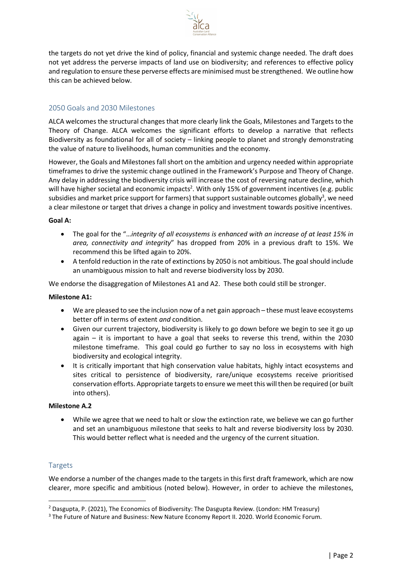

the targets do not yet drive the kind of policy, financial and systemic change needed. The draft does not yet address the perverse impacts of land use on biodiversity; and references to effective policy and regulation to ensure these perverse effects are minimised must be strengthened. We outline how this can be achieved below.

# 2050 Goals and 2030 Milestones

ALCA welcomes the structural changes that more clearly link the Goals, Milestones and Targets to the Theory of Change. ALCA welcomes the significant efforts to develop a narrative that reflects Biodiversity as foundational for all of society – linking people to planet and strongly demonstrating the value of nature to livelihoods, human communities and the economy.

However, the Goals and Milestones fall short on the ambition and urgency needed within appropriate timeframes to drive the systemic change outlined in the Framework's Purpose and Theory of Change. Any delay in addressing the biodiversity crisis will increase the cost of reversing nature decline, which will have higher societal and economic impacts<sup>2</sup>. With only 15% of government incentives (e.g. public subsidies and market price support for farmers) that support sustainable outcomes globally<sup>3</sup>, we need a clear milestone or target that drives a change in policy and investment towards positive incentives.

#### Goal A:

- The goal for the "...integrity of all ecosystems is enhanced with an increase of at least 15% in area, connectivity and integrity" has dropped from 20% in a previous draft to 15%. We recommend this be lifted again to 20%.
- A tenfold reduction in the rate of extinctions by 2050 is not ambitious. The goal should include an unambiguous mission to halt and reverse biodiversity loss by 2030.

We endorse the disaggregation of Milestones A1 and A2. These both could still be stronger.

### Milestone A1:

- We are pleased to see the inclusion now of a net gain approach these must leave ecosystems better off in terms of extent and condition.
- Given our current trajectory, biodiversity is likely to go down before we begin to see it go up again – it is important to have a goal that seeks to reverse this trend, within the 2030 milestone timeframe. This goal could go further to say no loss in ecosystems with high biodiversity and ecological integrity.
- It is critically important that high conservation value habitats, highly intact ecosystems and sites critical to persistence of biodiversity, rare/unique ecosystems receive prioritised conservation efforts. Appropriate targets to ensure we meet this will then be required (or built into others).

### Milestone A.2

 While we agree that we need to halt or slow the extinction rate, we believe we can go further and set an unambiguous milestone that seeks to halt and reverse biodiversity loss by 2030. This would better reflect what is needed and the urgency of the current situation.

### **Targets**

We endorse a number of the changes made to the targets in this first draft framework, which are now clearer, more specific and ambitious (noted below). However, in order to achieve the milestones,

<sup>&</sup>lt;sup>2</sup> Dasgupta, P. (2021), The Economics of Biodiversity: The Dasgupta Review. (London: HM Treasury)

<sup>&</sup>lt;sup>3</sup> The Future of Nature and Business: New Nature Economy Report II. 2020. World Economic Forum.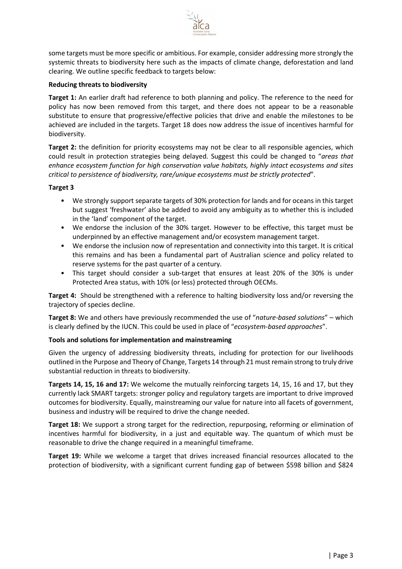

some targets must be more specific or ambitious. For example, consider addressing more strongly the systemic threats to biodiversity here such as the impacts of climate change, deforestation and land clearing. We outline specific feedback to targets below:

## Reducing threats to biodiversity

Target 1: An earlier draft had reference to both planning and policy. The reference to the need for policy has now been removed from this target, and there does not appear to be a reasonable substitute to ensure that progressive/effective policies that drive and enable the milestones to be achieved are included in the targets. Target 18 does now address the issue of incentives harmful for biodiversity.

Target 2: the definition for priority ecosystems may not be clear to all responsible agencies, which could result in protection strategies being delayed. Suggest this could be changed to "areas that enhance ecosystem function for high conservation value habitats, highly intact ecosystems and sites critical to persistence of biodiversity, rare/unique ecosystems must be strictly protected".

# Target 3

- We strongly support separate targets of 30% protection for lands and for oceans in this target but suggest 'freshwater' also be added to avoid any ambiguity as to whether this is included in the 'land' component of the target.
- We endorse the inclusion of the 30% target. However to be effective, this target must be underpinned by an effective management and/or ecosystem management target.
- We endorse the inclusion now of representation and connectivity into this target. It is critical this remains and has been a fundamental part of Australian science and policy related to reserve systems for the past quarter of a century.
- This target should consider a sub-target that ensures at least 20% of the 30% is under Protected Area status, with 10% (or less) protected through OECMs.

Target 4: Should be strengthened with a reference to halting biodiversity loss and/or reversing the trajectory of species decline.

**Target 8:** We and others have previously recommended the use of "nature-based solutions" – which is clearly defined by the IUCN. This could be used in place of "ecosystem-based approaches".

### Tools and solutions for implementation and mainstreaming

Given the urgency of addressing biodiversity threats, including for protection for our livelihoods outlined in the Purpose and Theory of Change, Targets 14 through 21 must remain strong to truly drive substantial reduction in threats to biodiversity.

Targets 14, 15, 16 and 17: We welcome the mutually reinforcing targets 14, 15, 16 and 17, but they currently lack SMART targets: stronger policy and regulatory targets are important to drive improved outcomes for biodiversity. Equally, mainstreaming our value for nature into all facets of government, business and industry will be required to drive the change needed.

Target 18: We support a strong target for the redirection, repurposing, reforming or elimination of incentives harmful for biodiversity, in a just and equitable way. The quantum of which must be reasonable to drive the change required in a meaningful timeframe.

Target 19: While we welcome a target that drives increased financial resources allocated to the protection of biodiversity, with a significant current funding gap of between \$598 billion and \$824